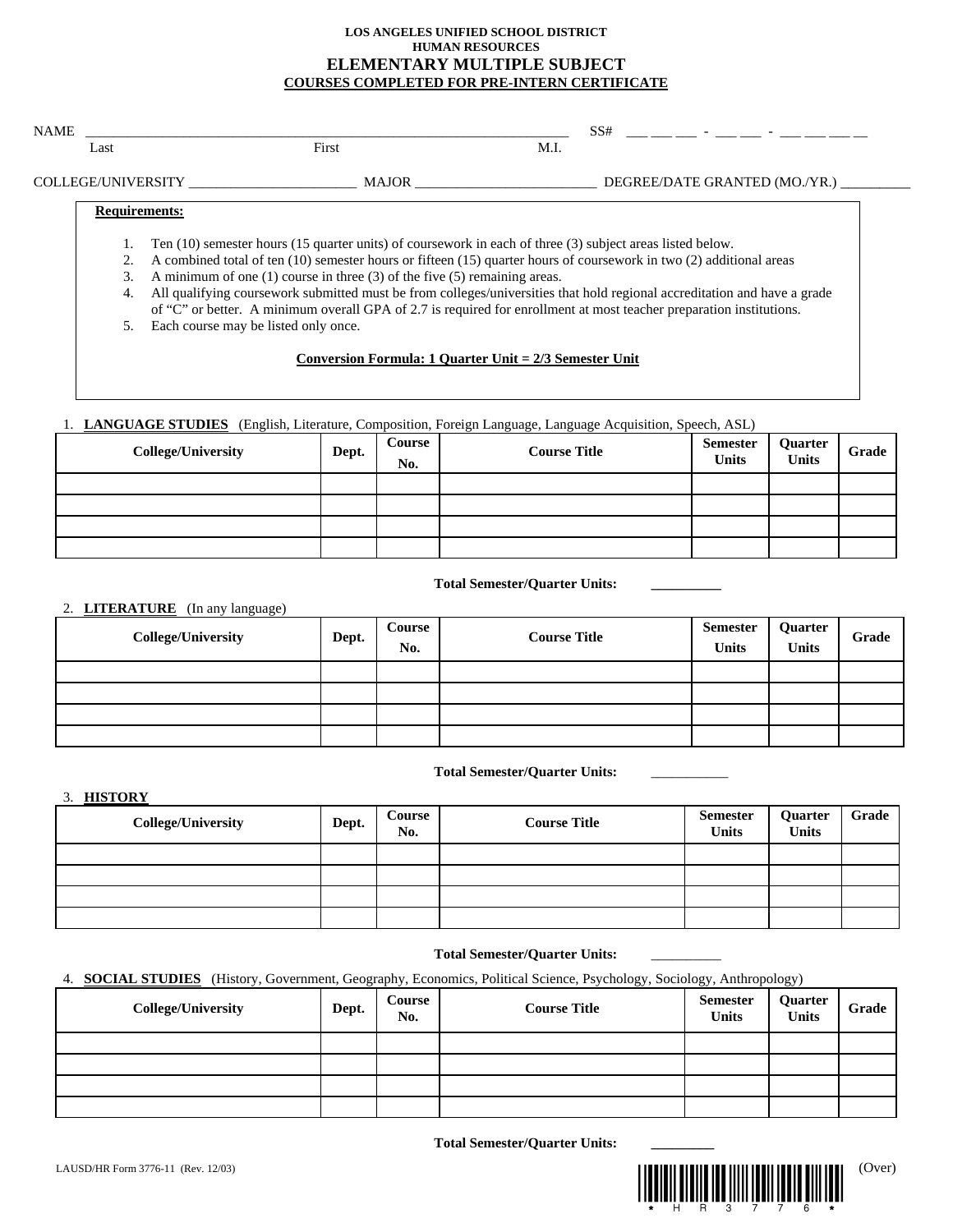## **LOS ANGELES UNIFIED SCHOOL DISTRICT HUMAN RESOURCES ELEMENTARY MULTIPLE SUBJECT COURSES COMPLETED FOR PRE-INTERN CERTIFICATE**

| Last                   | First                                                                                                                                                                                                       | M.I. |                               |
|------------------------|-------------------------------------------------------------------------------------------------------------------------------------------------------------------------------------------------------------|------|-------------------------------|
|                        | COLLEGE/UNIVERSITY MAJOR                                                                                                                                                                                    |      | DEGREE/DATE GRANTED (MO./YR.) |
|                        | <b>Requirements:</b>                                                                                                                                                                                        |      |                               |
|                        | Ten (10) semester hours (15 quarter units) of coursework in each of three (3) subject areas listed below.                                                                                                   |      |                               |
| 2.<br>$\mathfrak{Z}$ . | A combined total of ten (10) semester hours or fifteen (15) quarter hours of coursework in two (2) additional areas                                                                                         |      |                               |
| 4.                     | A minimum of one $(1)$ course in three $(3)$ of the five $(5)$ remaining areas.<br>All qualifying coursework submitted must be from colleges/universities that hold regional accreditation and have a grade |      |                               |
|                        | of "C" or better. A minimum overall GPA of 2.7 is required for enrollment at most teacher preparation institutions.                                                                                         |      |                               |
|                        | 5.                                                                                                                                                                                                          |      |                               |
|                        | Each course may be listed only once.                                                                                                                                                                        |      |                               |

## 1. **LANGUAGE STUDIES** (English, Literature, Composition, Foreign Language, Language Acquisition, Speech, ASL)

| <b>College/University</b> | Dept. | Course<br>No. | <b>Course Title</b> | <b>Semester</b><br><b>Units</b> | Quarter<br><b>Units</b> | Grade |
|---------------------------|-------|---------------|---------------------|---------------------------------|-------------------------|-------|
|                           |       |               |                     |                                 |                         |       |
|                           |       |               |                     |                                 |                         |       |
|                           |       |               |                     |                                 |                         |       |
|                           |       |               |                     |                                 |                         |       |

## **Total Semester/Quarter Units: \_\_\_\_\_\_\_\_\_\_**

# 2. **LITERATURE** (In any language)

| <b>College/University</b> | Dept. | Course<br>No. | <b>Course Title</b> | Semester<br><b>Units</b> | Quarter<br><b>Units</b> | Grade |
|---------------------------|-------|---------------|---------------------|--------------------------|-------------------------|-------|
|                           |       |               |                     |                          |                         |       |
|                           |       |               |                     |                          |                         |       |
|                           |       |               |                     |                          |                         |       |
|                           |       |               |                     |                          |                         |       |

### **Total Semester/Quarter Units:** \_\_\_\_\_\_\_\_\_\_\_

3. **HISTORY**

| <b>College/University</b> | Dept. | <b>Course</b><br>No. | <b>Course Title</b> | Semester<br><b>Units</b> | Quarter<br><b>Units</b> | Grade |
|---------------------------|-------|----------------------|---------------------|--------------------------|-------------------------|-------|
|                           |       |                      |                     |                          |                         |       |
|                           |       |                      |                     |                          |                         |       |
|                           |       |                      |                     |                          |                         |       |
|                           |       |                      |                     |                          |                         |       |

### **Total Semester/Quarter Units:** \_\_\_\_\_\_\_\_\_\_

# 4. **SOCIAL STUDIES** (History, Government, Geography, Economics, Political Science, Psychology, Sociology, Anthropology)

| <b>College/University</b> | Dept. | Course<br>No. | <b>Course Title</b> | Semester<br><b>Units</b> | Quarter<br>Units | Grade |
|---------------------------|-------|---------------|---------------------|--------------------------|------------------|-------|
|                           |       |               |                     |                          |                  |       |
|                           |       |               |                     |                          |                  |       |
|                           |       |               |                     |                          |                  |       |
|                           |       |               |                     |                          |                  |       |

**Total Semester/Quarter Units: \_\_\_\_\_\_\_\_\_**